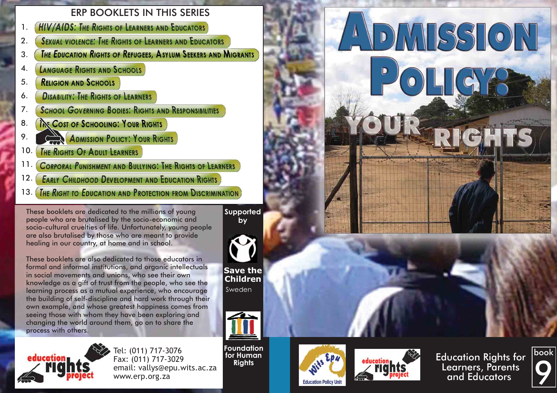# ERP BOOKLETS IN THIS SERIES

- **HIV/AIDS: THE RIGHTS OF LEARNERS AND EDUCATORS** 1.
- **SEXUAL VIOLENCE: THE RIGHTS OF LEARNERS AND EDUCATORS** 2.
- **THE EDUCATION RIGHTS OF REFUGEES, ASYLUM SEEKERS AND MIGRANTS** 3.
- **LANGUAGE RIGHTS AND SCHOOLS** 4.
- **RELIGION AND SCHOOLS** 5.
- **DISABILITY: THE RIGHTS OF LEARNERS** 6.
- **SCHOOL GOVERNING BODIES: RIGHTS AND RESPONSIBILITIES** 7.
- **INE COST OF SCHOOLING: YOUR RIGHTS** 8.
- **ADMISSION POLICY: YOUR RIGHTS** 9.
- THE RIGHTS OF ADULT LEARNERS 10.
- **CORPORAL PUNISHMENT AND BULLYING: THE RIGHTS OF LEARNERS** 11.
- **EARLY CHILDHOOD DEVELOPMENT AND EDUCATION RIGHTS** 12.
- THE RIGHT TO EDUCATION AND PROTECTION FROM DISCRIMINATION 13.

These booklets are dedicated to the millions of young people who are brutalised by the socio-economic and socio-cultural cruelties of life. Unfortunately, young people are also brutalised by those who are meant to provide healing in our country, at home and in school.

These booklets are also dedicated to those educators in formal and informal institutions, and organic intellectuals in social movements and unions, who see their own knowledge as a gift of trust from the people, who see the learning process as a mutual experience, who encourage the building of self-discipline and hard work through their own example, and whose greatest happiness comes from seeing those with whom they have been exploring and changing the world around them, go on to share the process with others.



Tel: (011) 717-3076 Fax: (011) 717-3029 email: vallys@epu.wits.ac.za www.erp.org.za

**Supported by**



**Save the Children** Sweden



**Foundation for Human Rights**







DMISSION

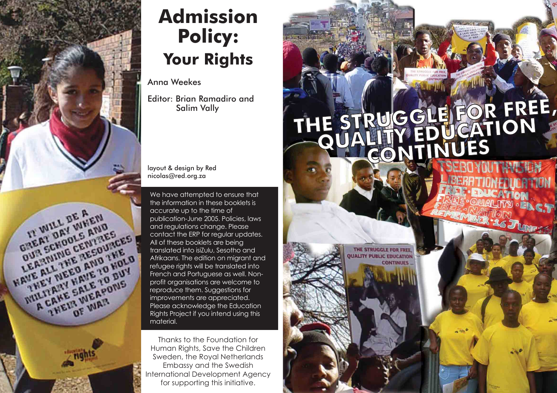

# **Admission Policy: Your Rights**

Anna Weekes

Editor: Brian Ramadiro and Salim Vally

layout & design by Red nicolas@red.org.za

We have attempted to ensure that the information in these booklets is accurate up to the time of publication-June 2005. Policies, laws and regulations change. Please contact the ERP for regular updates. All of these booklets are being translated into isiZulu, Sesotho and refugee rights will be translated into French and Portuguese as well. Nonprofit organisations are welcome to reproduce them. Suggestions for improvements are appreciated. Please acknowledge the Education Rights Project if you intend using this material.

Thanks to the Foundation for Human Rights, Save the Children Sweden, the Royal Netherlands Embassy and the Swedish International Development Agency for supporting this initiative.

# THE STRUGGLE FOR FREE,

THE STRUGGLE FOR FREE **UALITY PUBLIC EDUCATION CONTINUES**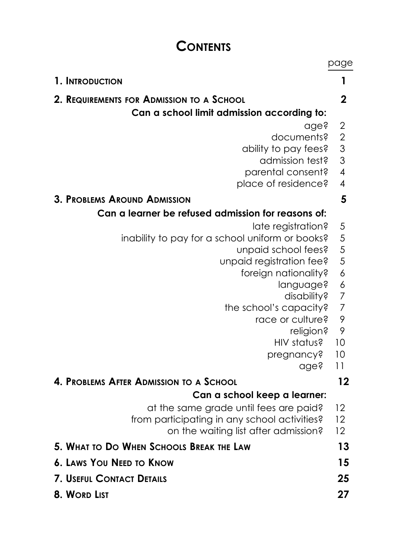# **CONTENTS**

|                                                    | page                                       |
|----------------------------------------------------|--------------------------------------------|
| 1. INTRODUCTION                                    | 1                                          |
| 2. REQUIREMENTS FOR ADMISSION TO A SCHOOL          | 2                                          |
| Can a school limit admission according to:         |                                            |
| age?                                               | $\overline{\mathbf{c}}$                    |
| documents?                                         | $\begin{array}{c} 2 \\ 3 \\ 3 \end{array}$ |
| ability to pay fees?                               |                                            |
| admission test?                                    |                                            |
| parental consent?                                  | $\overline{\mathcal{A}}$                   |
| place of residence?                                | $\overline{\mathcal{A}}$                   |
| <b>3. PROBLEMS AROUND ADMISSION</b>                | 5                                          |
| Can a learner be refused admission for reasons of: |                                            |
| late registration?                                 | 5                                          |
| inability to pay for a school uniform or books?    | 5                                          |
| unpaid school fees?                                | $\frac{5}{5}$                              |
| unpaid registration fee?                           |                                            |
| foreign nationality?                               | $\overline{6}$                             |
| language?<br>disability?                           | 6<br>$\overline{7}$                        |
| the school's capacity?                             | $\overline{7}$                             |
| race or culture?                                   | 9                                          |
| religion?                                          | 9                                          |
| HIV status?                                        | 10                                         |
| pregnancy?                                         | 10                                         |
| age?                                               | 11                                         |
| 4. PROBLEMS AFTER ADMISSION TO A SCHOOL            | 12                                         |
| Can a school keep a learner:                       |                                            |
| at the same grade until fees are paid?             | 12                                         |
| from participating in any school activities?       | 12                                         |
| on the waiting list after admission?               | 12                                         |
| 5. WHAT TO DO WHEN SCHOOLS BREAK THE LAW           | 13                                         |
| <b>6. LAWS YOU NEED TO KNOW</b>                    | 15                                         |
| <b>7. USEFUL CONTACT DETAILS</b>                   | 25                                         |
| 8. WORD LIST                                       | 27                                         |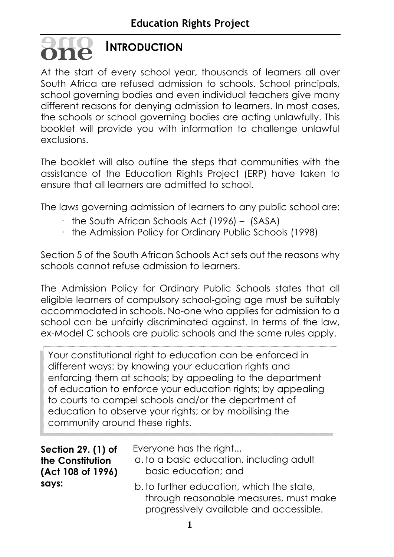# **INTRODUCTION oneone**

At the start of every school year, thousands of learners all over South Africa are refused admission to schools. School principals, school governing bodies and even individual teachers give many different reasons for denying admission to learners. In most cases, the schools or school governing bodies are acting unlawfully. This booklet will provide you with information to challenge unlawful exclusions.

The booklet will also outline the steps that communities with the assistance of the Education Rights Project (ERP) have taken to ensure that all learners are admitted to school.

The laws governing admission of learners to any public school are:

- $\cdot$  the South African Schools Act (1996) (SASA)
- · the Admission Policy for Ordinary Public Schools (1998)

Section 5 of the South African Schools Act sets out the reasons why schools cannot refuse admission to learners.

The Admission Policy for Ordinary Public Schools states that all eligible learners of compulsory school-going age must be suitably accommodated in schools. No-one who applies for admission to a school can be unfairly discriminated against. In terms of the law, ex-Model C schools are public schools and the same rules apply.

Your constitutional right to education can be enforced in different ways: by knowing your education rights and enforcing them at schools; by appealing to the department of education to enforce your education rights; by appealing to courts to compel schools and/or the department of education to observe your rights; or by mobilising the community around these rights.

**Section 29. (1) of the Constitution (Act 108 of 1996) says:**

Everyone has the right...

- a. to a basic education, including adult basic education; and
	- b. to further education, which the state, through reasonable measures, must make progressively available and accessible.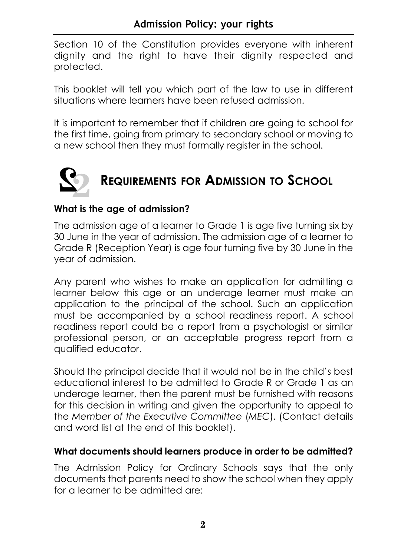Section 10 of the Constitution provides everyone with inherent dignity and the right to have their dignity respected and protected.

This booklet will tell you which part of the law to use in different situations where learners have been refused admission.

It is important to remember that if children are going to school for the first time, going from primary to secondary school or moving to a new school then they must formally register in the school.



# **What is the age of admission?**

The admission age of a learner to Grade 1 is age five turning six by 30 June in the year of admission. The admission age of a learner to Grade R (Reception Year) is age four turning five by 30 June in the year of admission.

Any parent who wishes to make an application for admitting a learner below this age or an underage learner must make an application to the principal of the school. Such an application must be accompanied by a school readiness report. A school readiness report could be a report from a psychologist or similar professional person, or an acceptable progress report from a qualified educator.

Should the principal decide that it would not be in the child's best educational interest to be admitted to Grade R or Grade 1 as an underage learner, then the parent must be furnished with reasons for this decision in writing and given the opportunity to appeal to the *Member of the Executive Committee* (*MEC*). (Contact details and word list at the end of this booklet).

# **What documents should learners produce in order to be admitted?**

The Admission Policy for Ordinary Schools says that the only documents that parents need to show the school when they apply for a learner to be admitted are: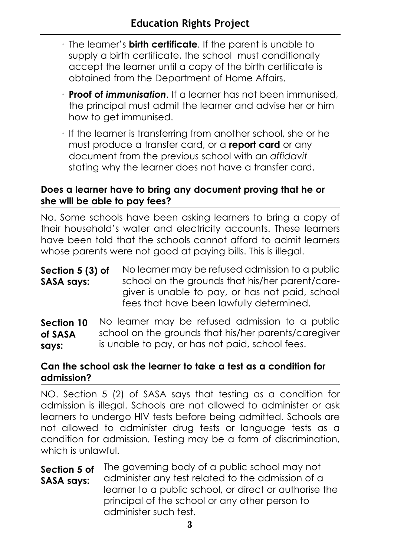- · The learner's **birth certificate**. If the parent is unable to supply a birth certificate, the school must conditionally accept the learner until a copy of the birth certificate is obtained from the Department of Home Affairs.
- · **Proof of** *immunisation*. If a learner has not been immunised, the principal must admit the learner and advise her or him how to get immunised.
- · If the learner is transferring from another school, she or he must produce a transfer card, or a **report card** or any document from the previous school with an *affidavit* stating why the learner does not have a transfer card.

# **Does a learner have to bring any document proving that he or she will be able to pay fees?**

No. Some schools have been asking learners to bring a copy of their household's water and electricity accounts. These learners have been told that the schools cannot afford to admit learners whose parents were not good at paying bills. This is illegal.

No learner may be refused admission to a public school on the grounds that his/her parent/caregiver is unable to pay, or has not paid, school fees that have been lawfully determined. **Section 5 (3) of SASA says:**

No learner may be refused admission to a public school on the grounds that his/her parents/caregiver is unable to pay, or has not paid, school fees. **Section 10 of SASA says:**

# **Can the school ask the learner to take a test as a condition for admission?**

NO. Section 5 (2) of SASA says that testing as a condition for admission is illegal. Schools are not allowed to administer or ask learners to undergo HIV tests before being admitted. Schools are not allowed to administer drug tests or language tests as a condition for admission. Testing may be a form of discrimination, which is unlawful.

The governing body of a public school may not administer any test related to the admission of a learner to a public school, or direct or authorise the principal of the school or any other person to administer such test. **Section 5 of SASA says:**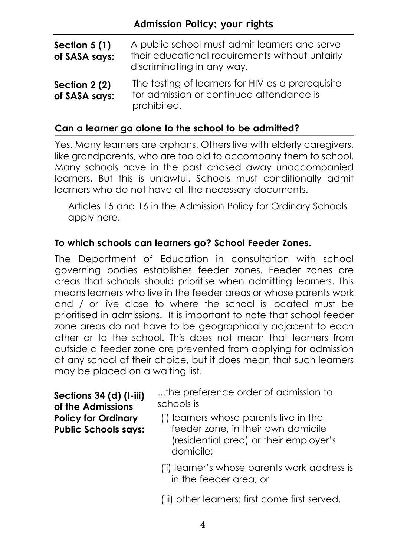| Section $5(1)$<br>of SASA says: | A public school must admit learners and serve<br>their educational requirements without unfairly<br>discriminating in any way. |
|---------------------------------|--------------------------------------------------------------------------------------------------------------------------------|
| Section 2 (2)<br>of SASA says:  | The testing of learners for HIV as a prerequisite<br>for admission or continued attendance is<br>prohibited.                   |

### **Can a learner go alone to the school to be admitted?**

Yes. Many learners are orphans. Others live with elderly caregivers, like grandparents, who are too old to accompany them to school. Many schools have in the past chased away unaccompanied learners. But this is unlawful. Schools must conditionally admit learners who do not have all the necessary documents.

Articles 15 and 16 in the Admission Policy for Ordinary Schools apply here.

# **To which schools can learners go? School Feeder Zones.**

The Department of Education in consultation with school governing bodies establishes feeder zones. Feeder zones are areas that schools should prioritise when admitting learners. This means learners who live in the feeder areas or whose parents work and / or live close to where the school is located must be prioritised in admissions. It is important to note that school feeder zone areas do not have to be geographically adjacent to each other or to the school. This does not mean that learners from outside a feeder zone are prevented from applying for admission at any school of their choice, but it does mean that such learners may be placed on a waiting list.

**Sections 34 (d) (I-iii) of the Admissions Policy for Ordinary Public Schools says:**  ...the preference order of admission to schools is

- (i) learners whose parents live in the feeder zone, in their own domicile (residential area) or their employer's domicile;
- (ii) learner's whose parents work address is in the feeder area; or
- (iii) other learners: first come first served.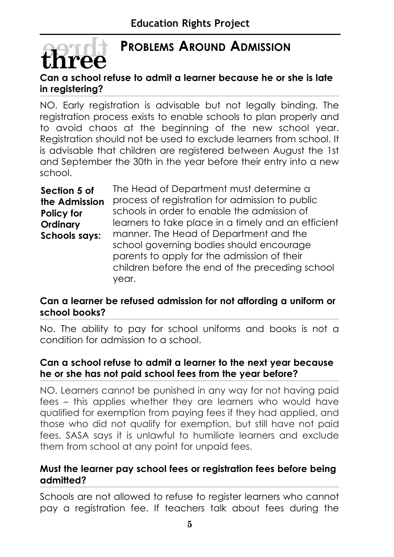# **PROBLEMS AROUND ADMISSION**

# **Can a school refuse to admit a learner because he or she is late in registering?**

**threethree**

NO. Early registration is advisable but not legally binding. The registration process exists to enable schools to plan properly and to avoid chaos at the beginning of the new school year. Registration should not be used to exclude learners from school. It is advisable that children are registered between August the 1st and September the 30th in the year before their entry into a new school.

The Head of Department must determine a process of registration for admission to public schools in order to enable the admission of learners to take place in a timely and an efficient manner. The Head of Department and the school governing bodies should encourage parents to apply for the admission of their children before the end of the preceding school year. **Section 5 of the Admission Policy for Ordinary Schools says:**

# **Can a learner be refused admission for not affording a uniform or school books?**

No. The ability to pay for school uniforms and books is not a condition for admission to a school.

### **Can a school refuse to admit a learner to the next year because he or she has not paid school fees from the year before?**

NO. Learners cannot be punished in any way for not having paid fees – this applies whether they are learners who would have qualified for exemption from paying fees if they had applied, and those who did not qualify for exemption, but still have not paid fees. SASA says it is unlawful to humiliate learners and exclude them from school at any point for unpaid fees.

# **Must the learner pay school fees or registration fees before being admitted?**

Schools are not allowed to refuse to register learners who cannot pay a registration fee. If teachers talk about fees during the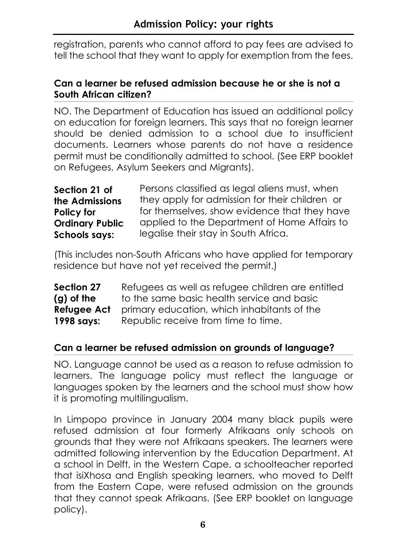registration, parents who cannot afford to pay fees are advised to tell the school that they want to apply for exemption from the fees.

# **Can a learner be refused admission because he or she is not a South African citizen?**

NO. The Department of Education has issued an additional policy on education for foreign learners. This says that no foreign learner should be denied admission to a school due to insufficient documents. Learners whose parents do not have a residence permit must be conditionally admitted to school. (See ERP booklet on Refugees, Asylum Seekers and Migrants).

| Section 21 of          | Persons classified as legal aliens must, when  |
|------------------------|------------------------------------------------|
| the Admissions         | they apply for admission for their children or |
| <b>Policy for</b>      | for themselves, show evidence that they have   |
| <b>Ordinary Public</b> | applied to the Department of Home Affairs to   |
| <b>Schools says:</b>   | legalise their stay in South Africa.           |

(This includes non-South Africans who have applied for temporary residence but have not yet received the permit.)

Refugees as well as refugee children are entitled to the same basic health service and basic primary education, which inhabitants of the Republic receive from time to time. **Section 27 (g) of the Refugee Act 1998 says:**

# **Can a learner be refused admission on grounds of language?**

NO. Language cannot be used as a reason to refuse admission to learners. The language policy must reflect the language or languages spoken by the learners and the school must show how it is promoting multilingualism.

In Limpopo province in January 2004 many black pupils were refused admission at four formerly Afrikaans only schools on grounds that they were not Afrikaans speakers. The learners were admitted following intervention by the Education Department. At a school in Delft, in the Western Cape, a schoolteacher reported that isiXhosa and English speaking learners, who moved to Delft from the Eastern Cape, were refused admission on the grounds that they cannot speak Afrikaans. (See ERP booklet on language policy).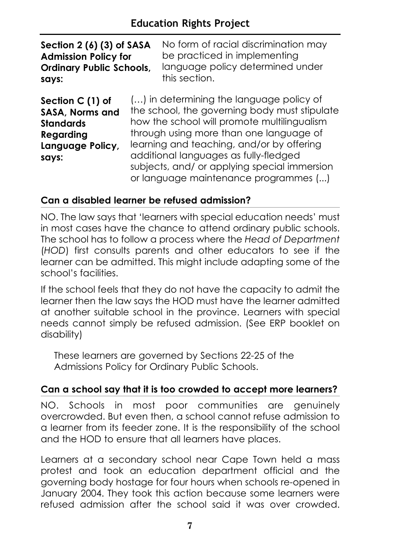# **Education Rights Project**

| Section 2 (6) (3) of SASA                                                                         |  | No form of racial discrimination may                                                                                                                                                                                                                                                                                                                               |  |
|---------------------------------------------------------------------------------------------------|--|--------------------------------------------------------------------------------------------------------------------------------------------------------------------------------------------------------------------------------------------------------------------------------------------------------------------------------------------------------------------|--|
| <b>Admission Policy for</b>                                                                       |  | be practiced in implementing                                                                                                                                                                                                                                                                                                                                       |  |
| <b>Ordinary Public Schools,</b>                                                                   |  | language policy determined under                                                                                                                                                                                                                                                                                                                                   |  |
| says:                                                                                             |  | this section.                                                                                                                                                                                                                                                                                                                                                      |  |
| Section C (1) of<br>SASA, Norms and<br><b>Standards</b><br>Regarding<br>Language Policy,<br>says: |  | () in determining the language policy of<br>the school, the governing body must stipulate<br>how the school will promote multilingualism<br>through using more than one language of<br>learning and teaching, and/or by offering<br>additional languages as fully-fledged<br>subjects, and/ or applying special immersion<br>or language maintenance programmes () |  |

# **Can a disabled learner be refused admission?**

NO. The law says that 'learners with special education needs' must in most cases have the chance to attend ordinary public schools. The school has to follow a process where the *Head of Department* (*HOD*) first consults parents and other educators to see if the learner can be admitted. This might include adapting some of the school's facilities.

If the school feels that they do not have the capacity to admit the learner then the law says the HOD must have the learner admitted at another suitable school in the province. Learners with special needs cannot simply be refused admission. (See ERP booklet on disability)

These learners are governed by Sections 22-25 of the Admissions Policy for Ordinary Public Schools.

# **Can a school say that it is too crowded to accept more learners?**

NO. Schools in most poor communities are genuinely overcrowded. But even then, a school cannot refuse admission to a learner from its feeder zone. It is the responsibility of the school and the HOD to ensure that all learners have places.

Learners at a secondary school near Cape Town held a mass protest and took an education department official and the governing body hostage for four hours when schools re-opened in January 2004. They took this action because some learners were refused admission after the school said it was over crowded.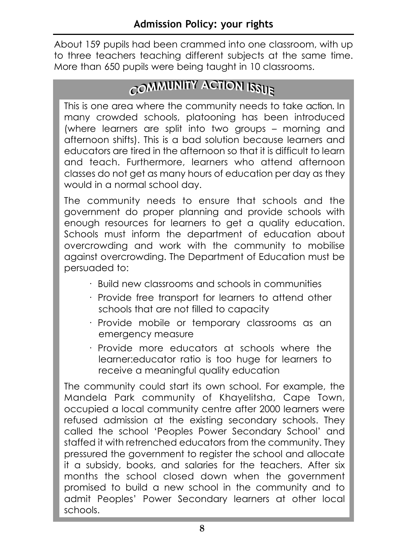About 159 pupils had been crammed into one classroom, with up to three teachers teaching different subjects at the same time. More than 650 pupils were being taught in 10 classrooms.

# **CCOOMMMMUNITY ACTION ISSUE UNITY ACTION ISSUE**

This is one area where the community needs to take action. In many crowded schools, platooning has been introduced (where learners are split into two groups – morning and afternoon shifts). This is a bad solution because learners and educators are tired in the afternoon so that it is difficult to learn and teach. Furthermore, learners who attend afternoon classes do not get as many hours of education per day as they would in a normal school day.

The community needs to ensure that schools and the government do proper planning and provide schools with enough resources for learners to get a quality education. Schools must inform the department of education about overcrowding and work with the community to mobilise against overcrowding. The Department of Education must be persuaded to:

- · Build new classrooms and schools in communities
- · Provide free transport for learners to attend other schools that are not filled to capacity
- · Provide mobile or temporary classrooms as an emergency measure
- · Provide more educators at schools where the learner:educator ratio is too huge for learners to receive a meaningful quality education

The community could start its own school. For example, the Mandela Park community of Khayelitsha, Cape Town, occupied a local community centre after 2000 learners were refused admission at the existing secondary schools. They called the school 'Peoples Power Secondary School' and staffed it with retrenched educators from the community. They pressured the government to register the school and allocate it a subsidy, books, and salaries for the teachers. After six months the school closed down when the government promised to build a new school in the community and to admit Peoples' Power Secondary learners at other local schools.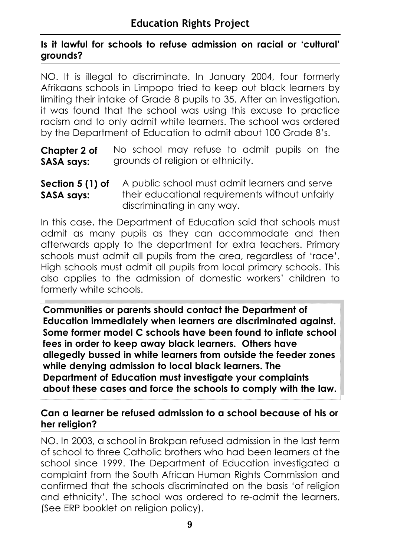# **Is it lawful for schools to refuse admission on racial or 'cultural' grounds?**

NO. It is illegal to discriminate. In January 2004, four formerly Afrikaans schools in Limpopo tried to keep out black learners by limiting their intake of Grade 8 pupils to 35. After an investigation, it was found that the school was using this excuse to practice racism and to only admit white learners. The school was ordered by the Department of Education to admit about 100 Grade 8's.

No school may refuse to admit pupils on the grounds of religion or ethnicity. **Chapter 2 of SASA says:**

A public school must admit learners and serve their educational requirements without unfairly discriminating in any way. **Section 5 (1) of SASA says:**

In this case, the Department of Education said that schools must admit as many pupils as they can accommodate and then afterwards apply to the department for extra teachers. Primary schools must admit all pupils from the area, regardless of 'race'. High schools must admit all pupils from local primary schools. This also applies to the admission of domestic workers' children to formerly white schools.

**Communities or parents should contact the Department of Education immediately when learners are discriminated against. Some former model C schools have been found to inflate school fees in order to keep away black learners. Others have allegedly bussed in white learners from outside the feeder zones while denying admission to local black learners. The Department of Education must investigate your complaints about these cases and force the schools to comply with the law.**

# **Can a learner be refused admission to a school because of his or her religion?**

NO. In 2003, a school in Brakpan refused admission in the last term of school to three Catholic brothers who had been learners at the school since 1999. The Department of Education investigated a complaint from the South African Human Rights Commission and confirmed that the schools discriminated on the basis 'of religion and ethnicity'. The school was ordered to re-admit the learners. (See ERP booklet on religion policy).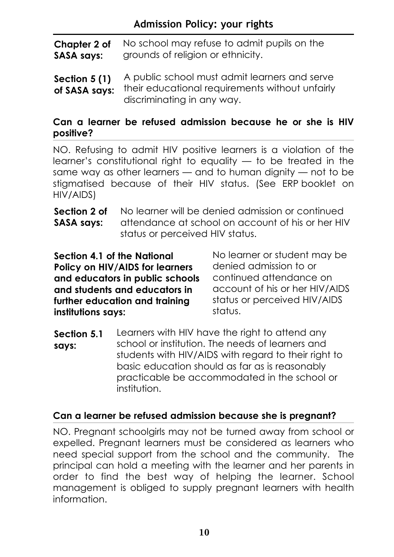No school may refuse to admit pupils on the grounds of religion or ethnicity. **Chapter 2 of SASA says:**

A public school must admit learners and serve their educational requirements without unfairly discriminating in any way. **Section 5 (1) of SASA says:**

# **Can a learner be refused admission because he or she is HIV positive?**

NO. Refusing to admit HIV positive learners is a violation of the learner's constitutional right to equality — to be treated in the same way as other learners — and to human dignity — not to be stigmatised because of their HIV status. (See ERP booklet on HIV/AIDS)

No learner will be denied admission or continued attendance at school on account of his or her HIV status or perceived HIV status. **Section 2 of SASA says:**

**Section 4.1 of the National Policy on HIV/AIDS for learners and educators in public schools and students and educators in further education and training institutions says:**

No learner or student may be denied admission to or continued attendance on account of his or her HIV/AIDS status or perceived HIV/AIDS status.

Learners with HIV have the right to attend any school or institution. The needs of learners and students with HIV/AIDS with regard to their right to basic education should as far as is reasonably practicable be accommodated in the school or institution. **Section 5.1 says:**

# **Can a learner be refused admission because she is pregnant?**

NO. Pregnant schoolgirls may not be turned away from school or expelled. Pregnant learners must be considered as learners who need special support from the school and the community. The principal can hold a meeting with the learner and her parents in order to find the best way of helping the learner. School management is obliged to supply pregnant learners with health information.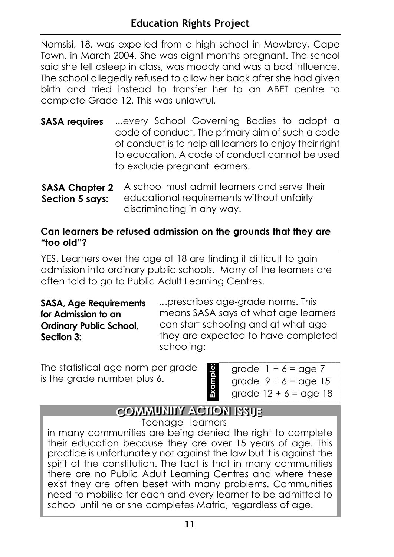Nomsisi, 18, was expelled from a high school in Mowbray, Cape Town, in March 2004. She was eight months pregnant. The school said she fell asleep in class, was moody and was a bad influence. The school allegedly refused to allow her back after she had given birth and tried instead to transfer her to an ABET centre to complete Grade 12. This was unlawful.

- ...every School Governing Bodies to adopt a code of conduct. The primary aim of such a code of conduct is to help all learners to enjoy their right to education. A code of conduct cannot be used to exclude pregnant learners. **SASA requires**
- A school must admit learners and serve their educational requirements without unfairly discriminating in any way. **SASA Chapter 2 Section 5 says:**

# **Can learners be refused admission on the grounds that they are "too old"?**

YES. Learners over the age of 18 are finding it difficult to gain admission into ordinary public schools. Many of the learners are often told to go to Public Adult Learning Centres.

**SASA, Age Requirements for Admission to an Ordinary Public School, Section 3:**

*..*.prescribes age-grade norms. This means SASA says at what age learners can start schooling and at what age they are expected to have completed schooling:

The statistical age norm per grade is the grade number plus 6.

| grade $1 + 6 =$ age 7   |
|-------------------------|
| grade $9 + 6 =$ age 15  |
| grade $12 + 6 =$ age 18 |

# **CCOMMUNITY ACTION ISSUE**

**Example:** 

Example:

Teenage learners

in many communities are being denied the right to complete their education because they are over 15 years of age. This practice is unfortunately not against the law but it is against the spirit of the constitution. The fact is that in many communities there are no Public Adult Learning Centres and where these exist they are often beset with many problems. Communities need to mobilise for each and every learner to be admitted to school until he or she completes Matric, regardless of age.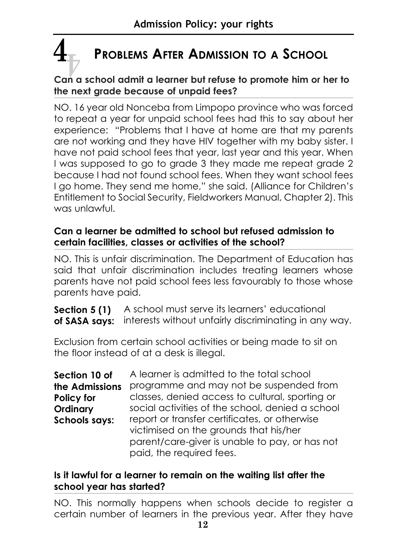# **PROBLEMS AFTER ADMISSION TO A SCHOOL**  $\frac{4}{\mathbb{P}}$

# **Can a school admit a learner but refuse to promote him or her to the next grade because of unpaid fees?**

NO. 16 year old Nonceba from Limpopo province who was forced to repeat a year for unpaid school fees had this to say about her experience: "Problems that I have at home are that my parents are not working and they have HIV together with my baby sister. I have not paid school fees that year, last year and this year. When I was supposed to go to grade 3 they made me repeat grade 2 because I had not found school fees. When they want school fees I go home. They send me home," she said. (Alliance for Children's Entitlement to Social Security, Fieldworkers Manual, Chapter 2). This was unlawful.

# **Can a learner be admitted to school but refused admission to certain facilities, classes or activities of the school?**

NO. This is unfair discrimination. The Department of Education has said that unfair discrimination includes treating learners whose parents have not paid school fees less favourably to those whose parents have paid.

**Section 5 (1)** A school must serve its learners' educational of SASA says: interests without unfairly discriminating in any way.

Exclusion from certain school activities or being made to sit on the floor instead of at a desk is illegal.

| Section 10 of        | A learner is admitted to the total school                                               |
|----------------------|-----------------------------------------------------------------------------------------|
| the Admissions       | programme and may not be suspended from                                                 |
| Policy for           | classes, denied access to cultural, sporting or                                         |
| Ordinary             | social activities of the school, denied a school                                        |
| <b>Schools says:</b> | report or transfer certificates, or otherwise<br>victimised on the grounds that his/her |
|                      | parent/care-giver is unable to pay, or has not<br>paid, the required fees.              |

# **Is it lawful for a learner to remain on the waiting list after the school year has started?**

NO. This normally happens when schools decide to register a certain number of learners in the previous year. After they have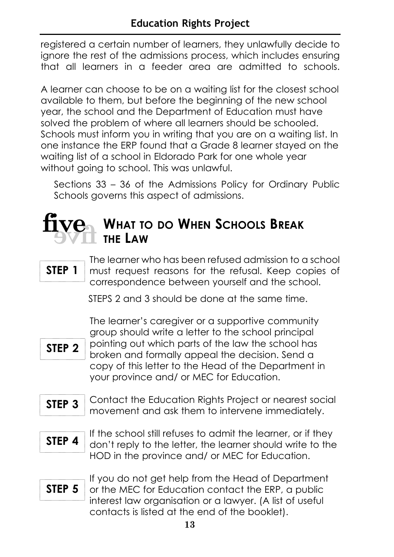registered a certain number of learners, they unlawfully decide to ignore the rest of the admissions process, which includes ensuring that all learners in a feeder area are admitted to schools.

A learner can choose to be on a waiting list for the closest school available to them, but before the beginning of the new school year, the school and the Department of Education must have solved the problem of where all learners should be schooled. Schools must inform you in writing that you are on a waiting list. In one instance the ERP found that a Grade 8 learner stayed on the waiting list of a school in Eldorado Park for one whole year without going to school. This was unlawful.

Sections 33 – 36 of the Admissions Policy for Ordinary Public Schools governs this aspect of admissions.

# $\frac{f_{\text{IV}}}{f_{\text{IV}}}\sum_{\text{THE LAW}}$  What to do When Schools Break **THE LAW**

# **STEP 1**

The learner who has been refused admission to a school must request reasons for the refusal. Keep copies of correspondence between yourself and the school.

STEPS 2 and 3 should be done at the same time.



The learner's caregiver or a supportive community group should write a letter to the school principal pointing out which parts of the law the school has broken and formally appeal the decision. Send a copy of this letter to the Head of the Department in your province and/ or MEC for Education.

- Contact the Education Rights Project or nearest social movement and ask them to intervene immediately. **STEP 3**
- **STEP 4**

If the school still refuses to admit the learner, or if they don't reply to the letter, the learner should write to the HOD in the province and/ or MEC for Education.

**STEP 5**

If you do not get help from the Head of Department or the MEC for Education contact the ERP, a public interest law organisation or a lawyer. (A list of useful contacts is listed at the end of the booklet).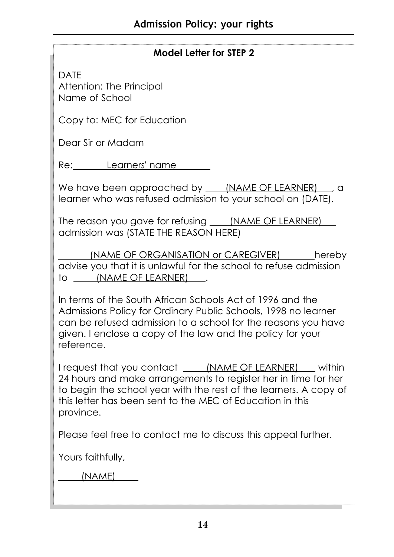# **Model Letter for STEP 2**

DATE Attention: The Principal Name of School

Copy to: MEC for Education

Dear Sir or Madam

Re: Learners' name

We have been approached by (NAME OF LEARNER), a learner who was refused admission to your school on (DATE).

The reason you gave for refusing (NAME OF LEARNER) admission was (STATE THE REASON HERE)

(NAME OF ORGANISATION or CAREGIVER) hereby advise you that it is unlawful for the school to refuse admission to (NAME OF LEARNER) .

In terms of the South African Schools Act of 1996 and the Admissions Policy for Ordinary Public Schools, 1998 no learner can be refused admission to a school for the reasons you have given. I enclose a copy of the law and the policy for your reference.

I request that you contact (NAME OF LEARNER) within 24 hours and make arrangements to register her in time for her to begin the school year with the rest of the learners. A copy of this letter has been sent to the MEC of Education in this province.

Please feel free to contact me to discuss this appeal further.

Yours faithfully,

(NAME)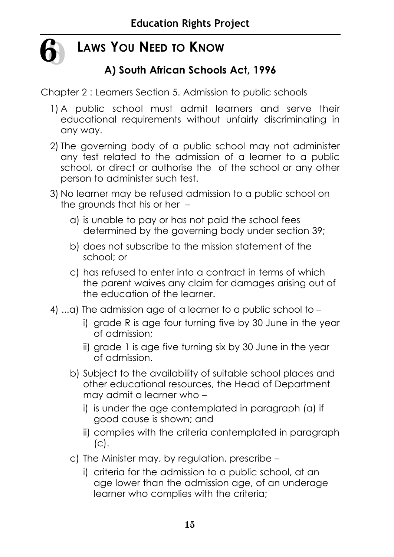

# **LAWS YOU NEED TO KNOW**

# **A) South African Schools Act, 1996**

Chapter 2 : Learners Section 5. Admission to public schools

- 1) A public school must admit learners and serve their educational requirements without unfairly discriminating in any way.
- 2) The governing body of a public school may not administer any test related to the admission of a learner to a public school, or direct or authorise the of the school or any other person to administer such test.
- 3) No learner may be refused admission to a public school on the grounds that his or her –
	- a) is unable to pay or has not paid the school fees determined by the governing body under section 39;
	- b) does not subscribe to the mission statement of the school; or
	- c) has refused to enter into a contract in terms of which the parent waives any claim for damages arising out of the education of the learner.
- 4) ...a) The admission age of a learner to a public school to
	- i) grade R is age four turning five by 30 June in the year of admission;
	- ii) grade 1 is age five turning six by 30 June in the year of admission.
	- b) Subject to the availability of suitable school places and other educational resources, the Head of Department may admit a learner who –
		- i) is under the age contemplated in paragraph (a) if good cause is shown; and
		- ii) complies with the criteria contemplated in paragraph  $(C).$
	- c) The Minister may, by regulation, prescribe
		- i) criteria for the admission to a public school, at an age lower than the admission age, of an underage learner who complies with the criteria;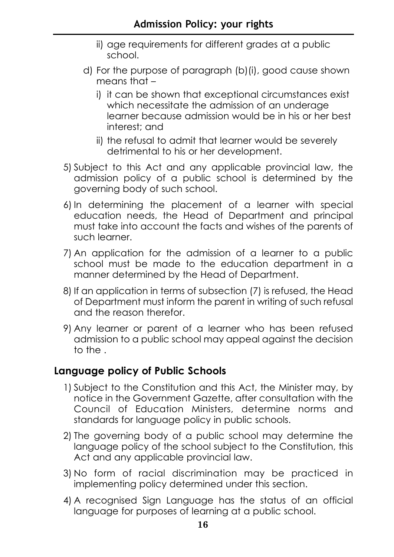- ii) age requirements for different grades at a public school.
- d) For the purpose of paragraph (b)(i), good cause shown means that –
	- i) it can be shown that exceptional circumstances exist which necessitate the admission of an underage learner because admission would be in his or her best interest; and
	- ii) the refusal to admit that learner would be severely detrimental to his or her development.
- 5) Subject to this Act and any applicable provincial law, the admission policy of a public school is determined by the governing body of such school.
- 6) In determining the placement of a learner with special education needs, the Head of Department and principal must take into account the facts and wishes of the parents of such learner.
- 7) An application for the admission of a learner to a public school must be made to the education department in a manner determined by the Head of Department.
- 8) If an application in terms of subsection (7) is refused, the Head of Department must inform the parent in writing of such refusal and the reason therefor.
- 9) Any learner or parent of a learner who has been refused admission to a public school may appeal against the decision to the .

# **Language policy of Public Schools**

- 1) Subject to the Constitution and this Act, the Minister may, by notice in the Government Gazette, after consultation with the Council of Education Ministers, determine norms and standards for language policy in public schools.
- 2) The governing body of a public school may determine the language policy of the school subject to the Constitution, this Act and any applicable provincial law.
- 3) No form of racial discrimination may be practiced in implementing policy determined under this section.
- 4) A recognised Sign Language has the status of an official language for purposes of learning at a public school.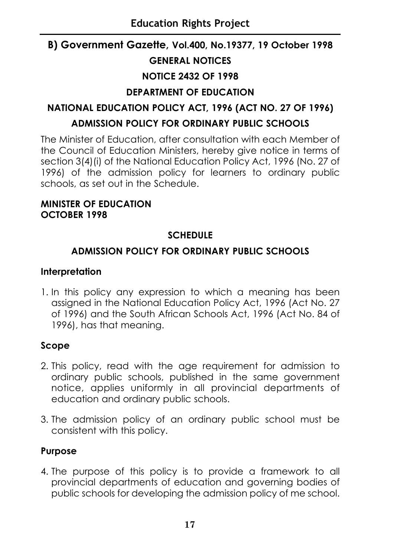# **B) Government Gazette, Vol.400, No.19377, 19 October 1998 GENERAL NOTICES NOTICE 2432 OF 1998 DEPARTMENT OF EDUCATION**

# **NATIONAL EDUCATION POLICY ACT, 1996 (ACT NO. 27 OF 1996) ADMISSION POLICY FOR ORDINARY PUBLIC SCHOOLS**

The Minister of Education, after consultation with each Member of the Council of Education Ministers, hereby give notice in terms of section 3(4)(i) of the National Education Policy Act, 1996 (No. 27 of 1996) of the admission policy for learners to ordinary public schools, as set out in the Schedule.

# **MINISTER OF EDUCATION OCTOBER 1998**

# **SCHEDULE**

# **ADMISSION POLICY FOR ORDINARY PUBLIC SCHOOLS**

# **Interpretation**

1. In this policy any expression to which a meaning has been assigned in the National Education Policy Act, 1996 (Act No. 27 of 1996) and the South African Schools Act, 1996 (Act No. 84 of 1996), has that meaning.

# **Scope**

- 2. This policy, read with the age requirement for admission to ordinary public schools, published in the same government notice, applies uniformly in all provincial departments of education and ordinary public schools.
- 3. The admission policy of an ordinary public school must be consistent with this policy.

# **Purpose**

4. The purpose of this policy is to provide a framework to all provincial departments of education and governing bodies of public schools for developing the admission policy of me school.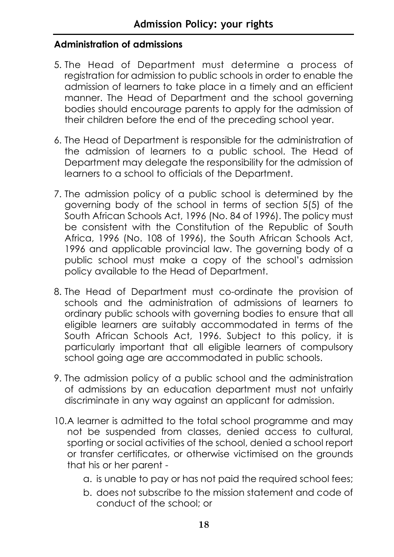# **Administration of admissions**

- 5. The Head of Department must determine a process of registration for admission to public schools in order to enable the admission of learners to take place in a timely and an efficient manner. The Head of Department and the school governing bodies should encourage parents to apply for the admission of their children before the end of the preceding school year.
- 6. The Head of Department is responsible for the administration of the admission of learners to a public school. The Head of Department may delegate the responsibility for the admission of learners to a school to officials of the Department.
- 7. The admission policy of a public school is determined by the governing body of the school in terms of section 5(5) of the South African Schools Act, 1996 (No. 84 of 1996). The policy must be consistent with the Constitution of the Republic of South Africa, 1996 (No. 108 of 1996), the South African Schools Act, 1996 and applicable provincial law. The governing body of a public school must make a copy of the school's admission policy available to the Head of Department.
- 8. The Head of Department must co-ordinate the provision of schools and the administration of admissions of learners to ordinary public schools with governing bodies to ensure that all eligible learners are suitably accommodated in terms of the South African Schools Act, 1996. Subject to this policy, it is particularly important that all eligible learners of compulsory school going age are accommodated in public schools.
- 9. The admission policy of a public school and the administration of admissions by an education department must not unfairly discriminate in any way against an applicant for admission.
- 10.A learner is admitted to the total school programme and may not be suspended from classes, denied access to cultural, sporting or social activities of the school, denied a school report or transfer certificates, or otherwise victimised on the grounds that his or her parent
	- a. is unable to pay or has not paid the required school fees;
	- b. does not subscribe to the mission statement and code of conduct of the school; or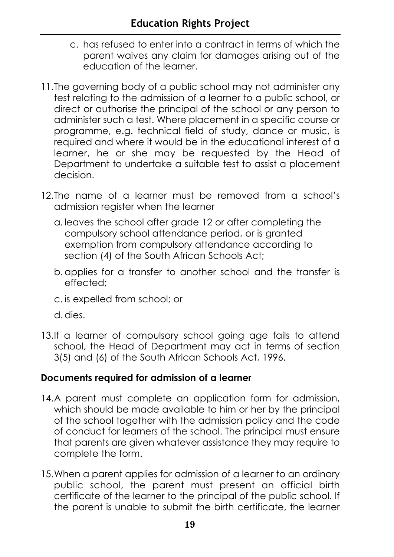- c. has refused to enter into a contract in terms of which the parent waives any claim for damages arising out of the education of the learner.
- 11.The governing body of a public school may not administer any test relating to the admission of a learner to a public school, or direct or authorise the principal of the school or any person to administer such a test. Where placement in a specific course or programme, e.g. technical field of study, dance or music, is required and where it would be in the educational interest of a learner, he or she may be requested by the Head of Department to undertake a suitable test to assist a placement decision.
- 12.The name of a learner must be removed from a school's admission register when the learner
	- a. leaves the school after grade 12 or after completing the compulsory school attendance period, or is granted exemption from compulsory attendance according to section (4) of the South African Schools Act;
	- b. applies for a transfer to another school and the transfer is effected;
	- c. is expelled from school; or
	- d. dies.
- 13.If a learner of compulsory school going age fails to attend school, the Head of Department may act in terms of section 3(5) and (6) of the South African Schools Act, 1996.

# **Documents required for admission of a learner**

- 14.A parent must complete an application form for admission, which should be made available to him or her by the principal of the school together with the admission policy and the code of conduct for learners of the school. The principal must ensure that parents are given whatever assistance they may require to complete the form.
- 15.When a parent applies for admission of a learner to an ordinary public school, the parent must present an official birth certificate of the learner to the principal of the public school. If the parent is unable to submit the birth certificate, the learner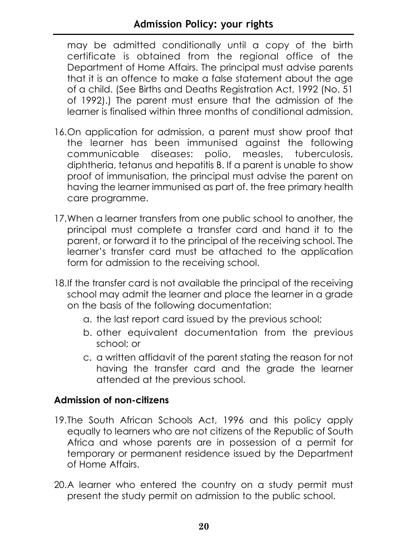may be admitted conditionally until a copy of the birth certificate is obtained from the regional office of the Department of Home Affairs. The principal must advise parents that it is an offence to make a false statement about the age of a child. (See Births and Deaths Registration Act, 1992 (No. 51 of 1992).) The parent must ensure that the admission of the learner is finalised within three months of conditional admission.

- 16.On application for admission, a parent must show proof that the learner has been immunised against the following communicable diseases: polio, measles, tuberculosis, diphtheria, tetanus and hepatitis B. If a parent is unable to show proof of immunisation, the principal must advise the parent on having the learner immunised as part of. the free primary health care programme.
- 17.When a learner transfers from one public school to another, the principal must complete a transfer card and hand it to the parent, or forward it to the principal of the receiving school. The learner's transfer card must be attached to the application form for admission to the receiving school.
- 18.If the transfer card is not available the principal of the receiving school may admit the learner and place the learner in a grade on the basis of the following documentation:
	- a. the last report card issued by the previous school;
	- b. other equivalent documentation from the previous school; or
	- c. a written affidavit of the parent stating the reason for not having the transfer card and the grade the learner attended at the previous school.

# **Admission of non-citizens**

- 19.The South African Schools Act, 1996 and this policy apply equally to learners who are not citizens of the Republic of South Africa and whose parents are in possession of a permit for temporary or permanent residence issued by the Department of Home Affairs.
- 20.A learner who entered the country on a study permit must present the study permit on admission to the public school.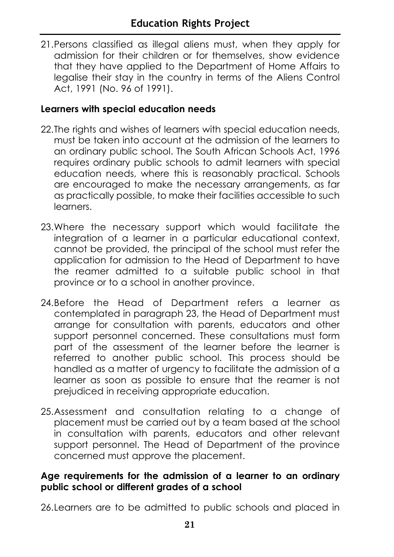21.Persons classified as illegal aliens must, when they apply for admission for their children or for themselves, show evidence that they have applied to the Department of Home Affairs to legalise their stay in the country in terms of the Aliens Control Act, 1991 (No. 96 of 1991).

# **Learners with special education needs**

- 22. The rights and wishes of learners with special education needs, must be taken into account at the admission of the learners to an ordinary public school. The South African Schools Act, 1996 requires ordinary public schools to admit learners with special education needs, where this is reasonably practical. Schools are encouraged to make the necessary arrangements, as far as practically possible, to make their facilities accessible to such learners.
- 23.Where the necessary support which would facilitate the integration of a learner in a particular educational context, cannot be provided, the principal of the school must refer the application for admission to the Head of Department to have the reamer admitted to a suitable public school in that province or to a school in another province.
- 24.Before the Head of Department refers a learner as contemplated in paragraph 23, the Head of Department must arrange for consultation with parents, educators and other support personnel concerned. These consultations must form part of the assessment of the learner before the learner is referred to another public school. This process should be handled as a matter of urgency to facilitate the admission of a learner as soon as possible to ensure that the reamer is not prejudiced in receiving appropriate education.
- 25.Assessment and consultation relating to a change of placement must be carried out by a team based at the school in consultation with parents, educators and other relevant support personnel. The Head of Department of the province concerned must approve the placement.

### **Age requirements for the admission of a learner to an ordinary public school or different grades of a school**

26.Learners are to be admitted to public schools and placed in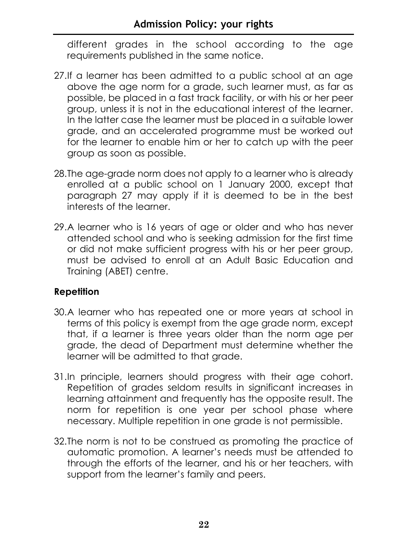different grades in the school according to the age requirements published in the same notice.

- 27.If a learner has been admitted to a public school at an age above the age norm for a grade, such learner must, as far as possible, be placed in a fast track facility, or with his or her peer group, unless it is not in the educational interest of the learner. In the latter case the learner must be placed in a suitable lower grade, and an accelerated programme must be worked out for the learner to enable him or her to catch up with the peer group as soon as possible.
- 28.The age-grade norm does not apply to a learner who is already enrolled at a public school on 1 January 2000, except that paragraph 27 may apply if it is deemed to be in the best interests of the learner.
- 29.A learner who is 16 years of age or older and who has never attended school and who is seeking admission for the first time or did not make sufficient progress with his or her peer group, must be advised to enroll at an Adult Basic Education and Training (ABET) centre.

# **Repetition**

- 30.A learner who has repeated one or more years at school in terms of this policy is exempt from the age grade norm, except that, if a learner is three years older than the norm age per grade, the dead of Department must determine whether the learner will be admitted to that grade.
- 31.In principle, learners should progress with their age cohort. Repetition of grades seldom results in significant increases in learning attainment and frequently has the opposite result. The norm for repetition is one year per school phase where necessary. Multiple repetition in one grade is not permissible.
- 32.The norm is not to be construed as promoting the practice of automatic promotion. A learner's needs must be attended to through the efforts of the learner, and his or her teachers, with support from the learner's family and peers.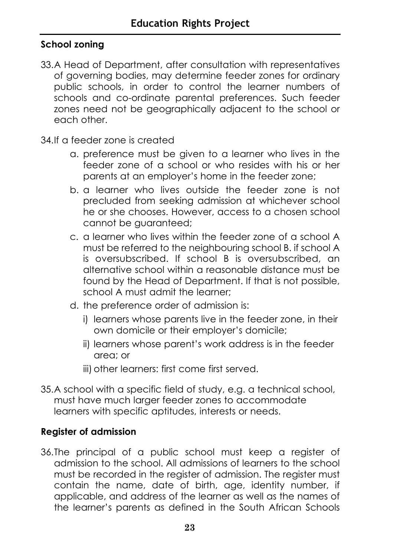# **School zoning**

33.A Head of Department, after consultation with representatives of governing bodies, may determine feeder zones for ordinary public schools, in order to control the learner numbers of schools and co-ordinate parental preferences. Such feeder zones need not be geographically adjacent to the school or each other.

34.If a feeder zone is created

- a. preference must be given to a learner who lives in the feeder zone of a school or who resides with his or her parents at an employer's home in the feeder zone;
- b. a learner who lives outside the feeder zone is not precluded from seeking admission at whichever school he or she chooses. However, access to a chosen school cannot be guaranteed;
- c. a learner who lives within the feeder zone of a school A must be referred to the neighbouring school B. if school A is oversubscribed. If school B is oversubscribed, an alternative school within a reasonable distance must be found by the Head of Department. If that is not possible, school A must admit the learner;
- d. the preference order of admission is:
	- i) learners whose parents live in the feeder zone, in their own domicile or their employer's domicile;
	- ii) learners whose parent's work address is in the feeder area; or
	- iii) other learners: first come first served.
- 35.A school with a specific field of study, e.g. a technical school, must have much larger feeder zones to accommodate learners with specific aptitudes, interests or needs.

# **Register of admission**

36.The principal of a public school must keep a register of admission to the school. All admissions of learners to the school must be recorded in the register of admission. The register must contain the name, date of birth, age, identity number, if applicable, and address of the learner as well as the names of the learner's parents as defined in the South African Schools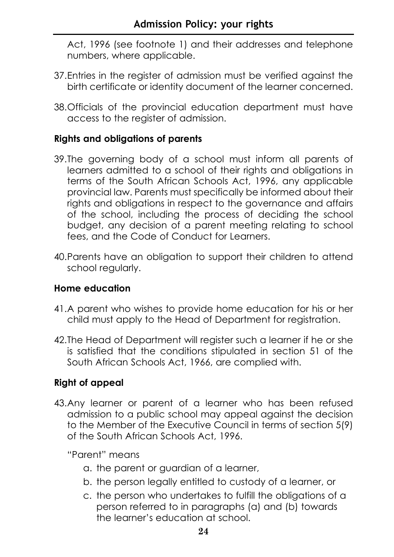Act, 1996 (see footnote 1) and their addresses and telephone numbers, where applicable.

- 37.Entries in the register of admission must be verified against the birth certificate or identity document of the learner concerned.
- 38.Officials of the provincial education department must have access to the register of admission.

# **Rights and obligations of parents**

- 39.The governing body of a school must inform all parents of learners admitted to a school of their rights and obligations in terms of the South African Schools Act, 1996, any applicable provincial law. Parents must specifically be informed about their rights and obligations in respect to the governance and affairs of the school, including the process of deciding the school budget, any decision of a parent meeting relating to school fees, and the Code of Conduct for Learners.
- 40.Parents have an obligation to support their children to attend school regularly.

# **Home education**

- 41.A parent who wishes to provide home education for his or her child must apply to the Head of Department for registration.
- 42.The Head of Department will register such a learner if he or she is satisfied that the conditions stipulated in section 51 of the South African Schools Act, 1966, are complied with.

# **Right of appeal**

43.Any learner or parent of a learner who has been refused admission to a public school may appeal against the decision to the Member of the Executive Council in terms of section 5(9) of the South African Schools Act, 1996.

"Parent" means

- a. the parent or guardian of a learner,
- b. the person legally entitled to custody of a learner, or
- c. the person who undertakes to fulfill the obligations of a person referred to in paragraphs (a) and (b) towards the learner's education at school.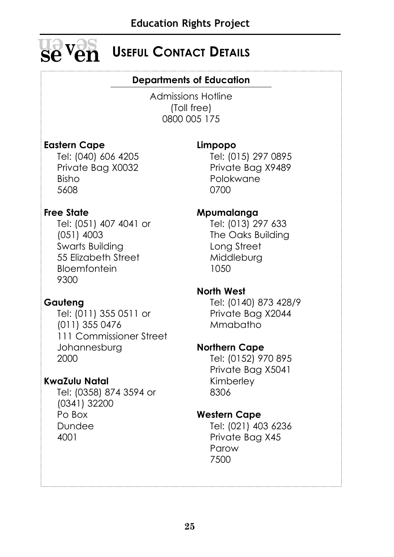

# $\mathbf{se}\,\mathbf{v}\mathbf{en}$  Useful Contact Details

# **Departments of Education**

Admissions Hotline (Toll free) 0800 005 175

# **Eastern Cape**

Tel: (040) 606 4205 Private Bag X0032 Bisho 5608

# **Limpopo**

Tel: (015) 297 0895 Private Bag X9489 Polokwane 0700

# **Free State**

Tel: (051) 407 4041 or (051) 4003 Swarts Building 55 Elizabeth Street Bloemfontein 9300

# **Gauteng**

Tel: (011) 355 0511 or (011) 355 0476 111 Commissioner Street Johannesburg 2000

# **KwaZulu Natal**

Tel: (0358) 874 3594 or (0341) 32200 Po Box Dundee 4001

# **Mpumalanga**

Tel: (013) 297 633 The Oaks Building Long Street Middleburg 1050

# **North West**

Tel: (0140) 873 428/9 Private Bag X2044 Mmabatho

# **Northern Cape**

Tel: (0152) 970 895 Private Bag X5041 Kimberley 8306

# **Western Cape**

Tel: (021) 403 6236 Private Bag X45 Parow 7500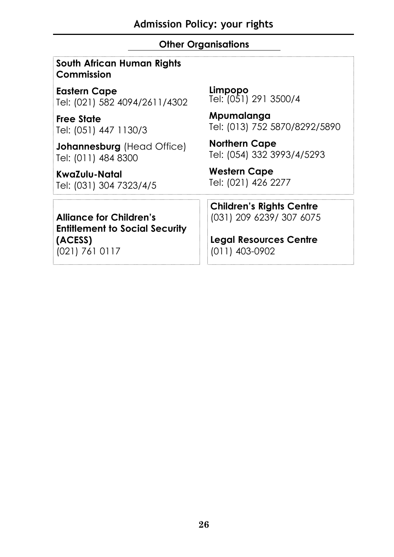# **Other Organisations**

### **South African Human Rights Commission**

**Eastern Cape** Tel: (021) 582 4094/2611/4302

**Free State**  Tel: (051) 447 1130/3

**Johannesburg** (Head Office) Tel: (011) 484 8300

**KwaZulu-Natal** Tel: (031) 304 7323/4/5 **Limpopo** Tel: (051) 291 3500/4

**Mpumalanga** Tel: (013) 752 5870/8292/5890

**Northern Cape** Tel: (054) 332 3993/4/5293

**Western Cape**  Tel: (021) 426 2277

**Children's Rights Centre** (031) 209 6239/ 307 6075

**Alliance for Children's Entitlement to Social Security (ACESS)** (021) 761 0117

**Legal Resources Centre** (011) 403-0902